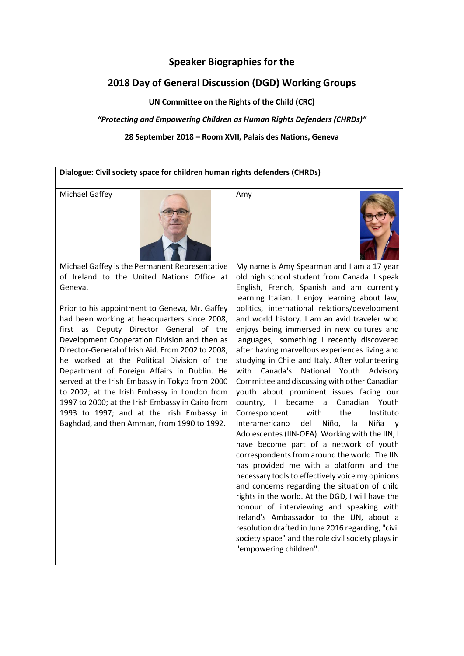# **Speaker Biographies for the**

# **2018 Day of General Discussion (DGD) Working Groups**

**UN Committee on the Rights of the Child (CRC)**

# *"Protecting and Empowering Children as Human Rights Defenders (CHRDs)"*

**28 September 2018 – Room XVII, Palais des Nations, Geneva** 

**Dialogue: Civil society space for children human rights defenders (CHRDs)** Michael Gaffey Amy





Michael Gaffey is the Permanent Representative of Ireland to the United Nations Office at Geneva.

Prior to his appointment to Geneva, Mr. Gaffey had been working at headquarters since 2008, first as Deputy Director General of the Development Cooperation Division and then as Director-General of Irish Aid. From 2002 to 2008, he worked at the Political Division of the Department of Foreign Affairs in Dublin. He served at the Irish Embassy in Tokyo from 2000 to 2002; at the Irish Embassy in London from 1997 to 2000; at the Irish Embassy in Cairo from 1993 to 1997; and at the Irish Embassy in Baghdad, and then Amman, from 1990 to 1992.

My name is Amy Spearman and I am a 17 year old high school student from Canada. I speak English, French, Spanish and am currently learning Italian. I enjoy learning about law, politics, international relations/development and world history. I am an avid traveler who enjoys being immersed in new cultures and languages, something I recently discovered after having marvellous experiences living and studying in Chile and Italy. After volunteering with Canada's National Youth Advisory Committee and discussing with other Canadian youth about prominent issues facing our country, I became a Canadian Youth Correspondent with the Instituto Interamericano del Niño, la Niña y Adolescentes (IIN-OEA). Working with the IIN, I have become part of a network of youth correspondents from around the world. The IIN has provided me with a platform and the necessary tools to effectively voice my opinions and concerns regarding the situation of child rights in the world. At the DGD, I will have the honour of interviewing and speaking with Ireland's Ambassador to the UN, about a resolution drafted in June 2016 regarding, "civil society space" and the role civil society plays in "empowering children".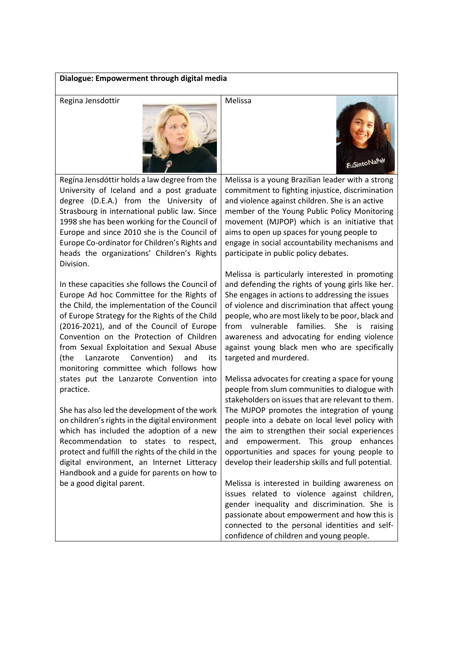### **Dialogue: Empowerment through digital media**



Regína Jensdóttir holds a law degree from the University of Iceland and a post graduate degree (D.E.A.) from the University of Strasbourg in international public law. Since 1998 she has been working for the Council of Europe and since 2010 she is the Council of Europe Co-ordinator for Children's Rights and heads the organizations' Children's Rights Division.

In these capacities she follows the Council of Europe Ad hoc Committee for the Rights of the Child, the implementation of the Council of Europe Strategy for the Rights of the Child (2016-2021), and of the Council of Europe Convention on the Protection of Children from Sexual Exploitation and Sexual Abuse (the Lanzarote Convention) and its monitoring committee which follows how states put the Lanzarote Convention into practice.

She has also led the development of the work on children's rights in the digital environment which has included the adoption of a new Recommendation to states to respect, protect and fulfill the rights of the child in the digital environment, an Internet Litteracy Handbook and a guide for parents on how to be a good digital parent.

Melissa is a young Brazilian leader with a strong commitment to fighting injustice, discrimination and violence against children. She is an active member of the Young Public Policy Monitoring movement (MJPOP) which is an initiative that aims to open up spaces for young people to engage in social accountability mechanisms and participate in public policy debates.

Melissa is particularly interested in promoting and defending the rights of young girls like her. She engages in actions to addressing the issues of violence and discrimination that affect young people, who are most likely to be poor, black and from vulnerable families. She is raising awareness and advocating for ending violence against young black men who are specifically targeted and murdered.

Melissa advocates for creating a space for young people from slum communities to dialogue with stakeholders on issues that are relevant to them. The MJPOP promotes the integration of young people into a debate on local level policy with the aim to strengthen their social experiences and empowerment. This group enhances opportunities and spaces for young people to develop their leadership skills and full potential.

Melissa is interested in building awareness on issues related to violence against children, gender inequality and discrimination. She is passionate about empowerment and how this is connected to the personal identities and selfconfidence of children and young people.

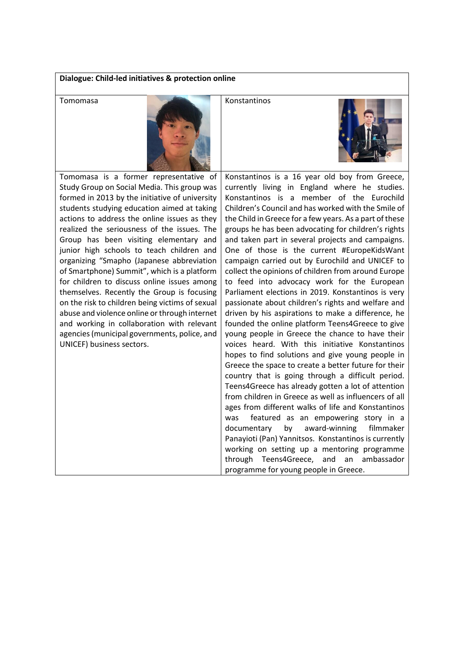# **Dialogue: Child-led initiatives & protection online**





Tomomasa is a former representative of Study Group on Social Media. This group was formed in 2013 by the initiative of university students studying education aimed at taking actions to address the online issues as they realized the seriousness of the issues. The Group has been visiting elementary and junior high schools to teach children and organizing "Smapho (Japanese abbreviation of Smartphone) Summit", which is a platform for children to discuss online issues among themselves. Recently the Group is focusing on the risk to children being victims of sexual abuse and violence online or through internet and working in collaboration with relevant agencies (municipal governments, police, and UNICEF) business sectors.

Konstantinos is a 16 year old boy from Greece, currently living in England where he studies. Konstantinos is a member of the Eurochild Children's Council and has worked with the Smile of the Child in Greece for a few years. As a part of these groups he has been advocating for children's rights and taken part in several projects and campaigns. One of those is the current #EuropeKidsWant campaign carried out by Eurochild and UNICEF to collect the opinions of children from around Europe to feed into advocacy work for the European Parliament elections in 2019. Konstantinos is very passionate about children's rights and welfare and driven by his aspirations to make a difference, he founded the online platform Teens4Greece to give young people in Greece the chance to have their voices heard. With this initiative Konstantinos hopes to find solutions and give young people in Greece the space to create a better future for their country that is going through a difficult period. Teens4Greece has already gotten a lot of attention from children in Greece as well as influencers of all ages from different walks of life and Konstantinos was featured as an empowering story in a documentary by award-winning filmmaker Panayioti (Pan) Yannitsos. Konstantinos is currently working on setting up a mentoring programme through Teens4Greece, and an ambassador programme for young people in Greece.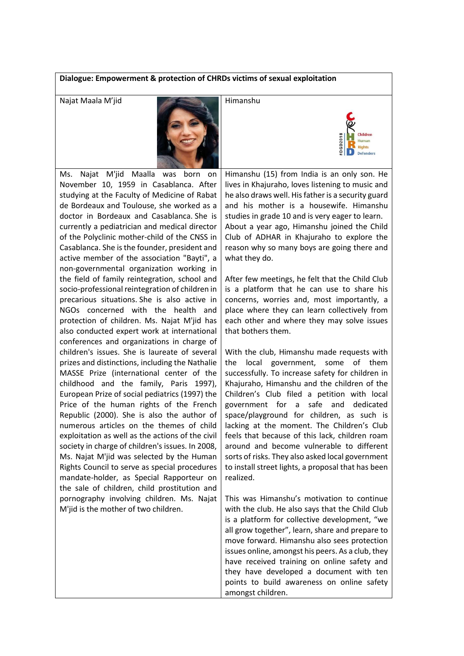# **Dialogue: Empowerment & protection of CHRDs victims of sexual exploitation**



Ms. Najat M'jid Maalla was born on November 10, 1959 in Casablanca. After studying at the Faculty of Medicine of Rabat de Bordeaux and Toulouse, she worked as a doctor in Bordeaux and Casablanca. She is currently a pediatrician and medical director of the Polyclinic mother-child of the CNSS in Casablanca. She isthe founder, president and active member of the association "Bayti", a non-governmental organization working in the field of family reintegration, school and socio-professional reintegration of children in precarious situations. She is also active in NGOs concerned with the health and protection of children. Ms. Najat M'jid has also conducted expert work at international conferences and organizations in charge of children's issues. She is laureate of several prizes and distinctions, including the Nathalie MASSE Prize (international center of the childhood and the family, Paris 1997), European Prize of social pediatrics (1997) the Price of the human rights of the French Republic (2000). She is also the author of numerous articles on the themes of child exploitation as well as the actions of the civil society in charge of children's issues. In 2008, Ms. Najat M'jid was selected by the Human Rights Council to serve as special procedures mandate-holder, as Special Rapporteur on the sale of children, child prostitution and pornography involving children. Ms. Najat M'jid is the mother of two children.

Himanshu (15) from India is an only son. He lives in Khajuraho, loves listening to music and he also draws well. His father is a security guard and his mother is a housewife. Himanshu studies in grade 10 and is very eager to learn. About a year ago, Himanshu joined the Child Club of ADHAR in Khajuraho to explore the reason why so many boys are going there and what they do.

Human

After few meetings, he felt that the Child Club is a platform that he can use to share his concerns, worries and, most importantly, a place where they can learn collectively from each other and where they may solve issues that bothers them.

With the club, Himanshu made requests with the local government, some of them successfully. To increase safety for children in Khajuraho, Himanshu and the children of the Children's Club filed a petition with local government for a safe and dedicated space/playground for children, as such is lacking at the moment. The Children's Club feels that because of this lack, children roam around and become vulnerable to different sorts of risks. They also asked local government to install street lights, a proposal that has been realized.

This was Himanshu's motivation to continue with the club. He also says that the Child Club is a platform for collective development, "we all grow together", learn, share and prepare to move forward. Himanshu also sees protection issues online, amongst his peers. As a club, they have received training on online safety and they have developed a document with ten points to build awareness on online safety amongst children.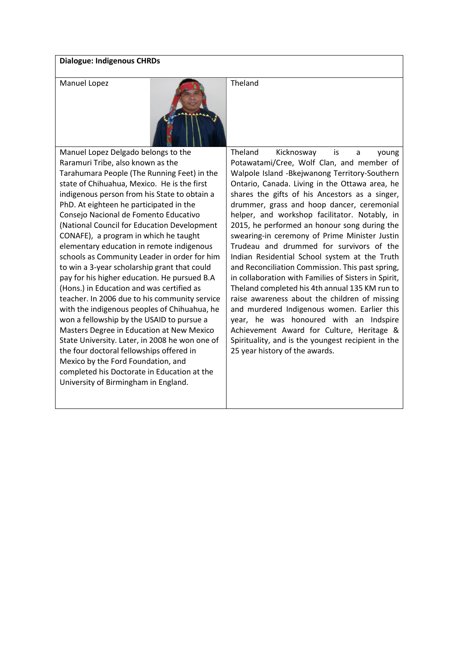# **Dialogue: Indigenous CHRDs**



Manuel Lopez Delgado belongs to the Raramuri Tribe, also known as the Tarahumara People (The Running Feet) in the state of Chihuahua, Mexico. He is the first indigenous person from his State to obtain a PhD. At eighteen he participated in the Consejo Nacional de Fomento Educativo (National Council for Education Development CONAFE), a program in which he taught elementary education in remote indigenous schools as Community Leader in order for him to win a 3-year scholarship grant that could pay for his higher education. He pursued B.A (Hons.) in Education and was certified as teacher. In 2006 due to his community service with the indigenous peoples of Chihuahua, he won a fellowship by the USAID to pursue a Masters Degree in Education at New Mexico State University. Later, in 2008 he won one of the four doctoral fellowships offered in Mexico by the Ford Foundation, and completed his Doctorate in Education at the University of Birmingham in England.

Theland Kicknosway is a young Potawatami/Cree, Wolf Clan, and member of Walpole Island -Bkejwanong Territory-Southern Ontario, Canada. Living in the Ottawa area, he shares the gifts of his Ancestors as a singer, drummer, grass and hoop dancer, ceremonial helper, and workshop facilitator. Notably, in 2015, he performed an honour song during the swearing-in ceremony of Prime Minister Justin Trudeau and drummed for survivors of the Indian Residential School system at the Truth and Reconciliation Commission. This past spring, in collaboration with Families of Sisters in Spirit, Theland completed his 4th annual 135 KM run to raise awareness about the children of missing and murdered Indigenous women. Earlier this year, he was honoured with an Indspire Achievement Award for Culture, Heritage & Spirituality, and is the youngest recipient in the 25 year history of the awards.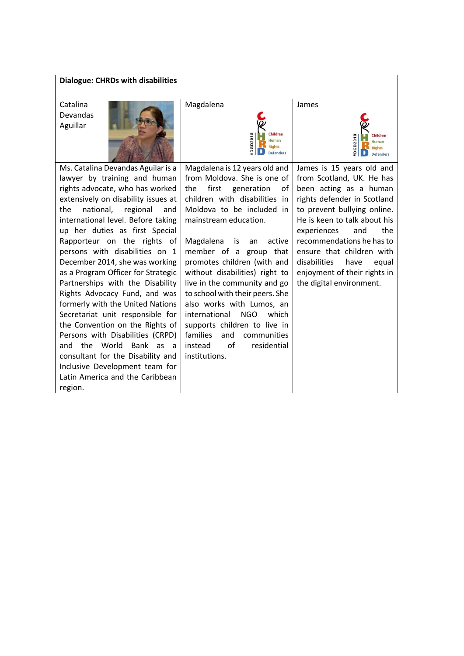| <b>Dialogue: CHRDs with disabilities</b>                                                                                                                                                                                                                                                                                                                                                                                                                                                                                                                                                                                                                                                                                                                                       |                                                                                                                                                                                                                                                                                                                                                                                                                                                                                                                                                                               |                                                                                                                                                                                                                                                                                                                                                                    |
|--------------------------------------------------------------------------------------------------------------------------------------------------------------------------------------------------------------------------------------------------------------------------------------------------------------------------------------------------------------------------------------------------------------------------------------------------------------------------------------------------------------------------------------------------------------------------------------------------------------------------------------------------------------------------------------------------------------------------------------------------------------------------------|-------------------------------------------------------------------------------------------------------------------------------------------------------------------------------------------------------------------------------------------------------------------------------------------------------------------------------------------------------------------------------------------------------------------------------------------------------------------------------------------------------------------------------------------------------------------------------|--------------------------------------------------------------------------------------------------------------------------------------------------------------------------------------------------------------------------------------------------------------------------------------------------------------------------------------------------------------------|
| Catalina<br><b>Devandas</b><br>Aguillar                                                                                                                                                                                                                                                                                                                                                                                                                                                                                                                                                                                                                                                                                                                                        | Magdalena<br>Children<br>DGD201<br>Human<br><b>Rights</b><br><b>Defenders</b>                                                                                                                                                                                                                                                                                                                                                                                                                                                                                                 | James<br>Children<br>GD <sub>201</sub><br>Human<br><b>Rights</b><br><b>Defenders</b>                                                                                                                                                                                                                                                                               |
| Ms. Catalina Devandas Aguilar is a<br>lawyer by training and human<br>rights advocate, who has worked<br>extensively on disability issues at<br>regional<br>the<br>national,<br>and<br>international level. Before taking<br>up her duties as first Special<br>Rapporteur on the rights of<br>persons with disabilities on 1<br>December 2014, she was working<br>as a Program Officer for Strategic<br>Partnerships with the Disability<br>Rights Advocacy Fund, and was<br>formerly with the United Nations<br>Secretariat unit responsible for<br>the Convention on the Rights of<br>Persons with Disabilities (CRPD)<br>the World<br>Bank as a<br>and<br>consultant for the Disability and<br>Inclusive Development team for<br>Latin America and the Caribbean<br>region. | Magdalena is 12 years old and<br>from Moldova. She is one of<br>first generation<br>the<br>οf<br>children with disabilities in<br>Moldova to be included in<br>mainstream education.<br>Magdalena<br>active<br>is<br>an<br>member of a group that<br>promotes children (with and<br>without disabilities) right to<br>live in the community and go<br>to school with their peers. She<br>also works with Lumos, an<br>international<br><b>NGO</b><br>which<br>supports children to live in<br>families<br>and<br>communities<br>of<br>instead<br>residential<br>institutions. | James is 15 years old and<br>from Scotland, UK. He has<br>been acting as a human<br>rights defender in Scotland<br>to prevent bullying online.<br>He is keen to talk about his<br>the<br>experiences<br>and<br>recommendations he has to<br>ensure that children with<br>disabilities<br>have<br>equal<br>enjoyment of their rights in<br>the digital environment. |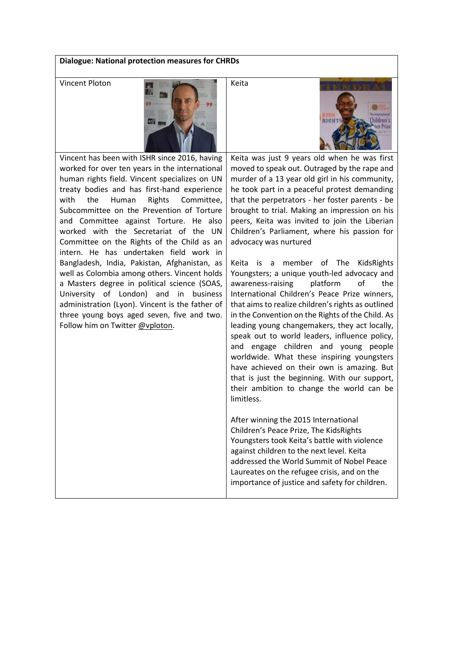### **Dialogue: National protection measures for CHRDs**



RICH

Vincent has been with ISHR since 2016, having worked for over ten years in the international human rights field. Vincent specializes on UN treaty bodies and has first-hand experience with the Human Rights Committee, Subcommittee on the Prevention of Torture and Committee against Torture. He also worked with the Secretariat of the UN Committee on the Rights of the Child as an intern. He has undertaken field work in Bangladesh, India, Pakistan, Afghanistan, as well as Colombia among others. Vincent holds a Masters degree in political science (SOAS, University of London) and in business administration (Lyon). Vincent is the father of three young boys aged seven, five and two. Follow him on Twitter [@vploton.](https://twitter.com/vploton)

Keita was just 9 years old when he was first moved to speak out. Outraged by the rape and murder of a 13 year old girl in his community, he took part in a peaceful protest demanding that the perpetrators - her foster parents - be brought to trial. Making an impression on his peers, Keita was invited to join the Liberian Children's Parliament, where his passion for advocacy was nurtured

Keita is a member of The KidsRights Youngsters; a unique youth-led advocacy and awareness-raising platform of the International Children's Peace Prize winners, that aims to realize children's rights as outlined in the Convention on the Rights of the Child. As leading young changemakers, they act locally, speak out to world leaders, influence policy, and engage children and young people worldwide. What these inspiring youngsters have achieved on their own is amazing. But that is just the beginning. With our support, their ambition to change the world can be limitless.

After winning the 2015 International Children's Peace Prize, The KidsRights Youngsters took Keita's battle with violence against children to the next level. Keita addressed the World Summit of Nobel Peace Laureates on the refugee crisis, and on the importance of justice and safety for children.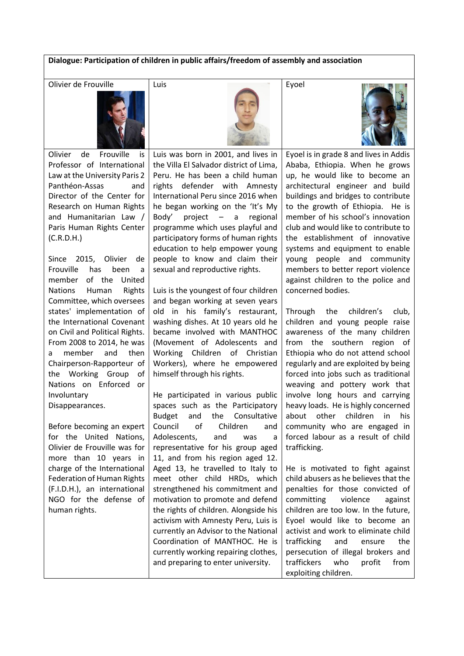# **Dialogue: Participation of children in public affairs/freedom of assembly and association**

Olivier de Frouville 2008 | Luis 2008 | Expel



Olivier de Frouville is Professor of International Law at the University Paris 2 Panthéon-Assas and Director of the Center for Research on Human Rights and Humanitarian Law / Paris Human Rights Center (C.R.D.H.)

Since 2015, Olivier de Frouville has been a member of the United Nations Human Rights Committee, which oversees states' implementation of the International Covenant on Civil and Political Rights. From 2008 to 2014, he was a member and then Chairperson-Rapporteur of the Working Group of Nations on Enforced or Involuntary Disappearances.

Before becoming an expert for the United Nations, Olivier de Frouville was for more than 10 years in charge of the International Federation of Human Rights (F.I.D.H.), an international NGO for the defense of human rights.

Luis was born in 2001, and lives in the Villa El Salvador district of Lima, Peru. He has been a child human rights defender with Amnesty International Peru since 2016 when he began working on the 'It's My Body' project – a regional programme which uses playful and participatory forms of human rights education to help empower young people to know and claim their sexual and reproductive rights.

Luis is the youngest of four children and began working at seven years old in his family's restaurant, washing dishes. At 10 years old he became involved with MANTHOC (Movement of Adolescents and Working Children of Christian Workers), where he empowered himself through his rights.

He participated in various public spaces such as the Participatory Budget and the Consultative Council of Children and Adolescents, and was a representative for his group aged 11, and from his region aged 12. Aged 13, he travelled to Italy to meet other child HRDs, which strengthened his commitment and motivation to promote and defend the rights of children. Alongside his activism with Amnesty Peru, Luis is currently an Advisor to the National Coordination of MANTHOC. He is currently working repairing clothes, and preparing to enter university.



Eyoel is in grade 8 and lives in Addis Ababa, Ethiopia. When he grows up, he would like to become an architectural engineer and build buildings and bridges to contribute to the growth of Ethiopia. He is member of his school's innovation club and would like to contribute to the establishment of innovative systems and equipment to enable young people and community members to better report violence against children to the police and concerned bodies.

Through the children's club, children and young people raise awareness of the many children from the southern region of Ethiopia who do not attend school regularly and are exploited by being forced into jobs such as traditional weaving and pottery work that involve long hours and carrying heavy loads. He is highly concerned about other children in his community who are engaged in forced labour as a result of child trafficking.

He is motivated to fight against child abusers as he believes that the penalties for those convicted of committing violence against children are too low. In the future, Eyoel would like to become an activist and work to eliminate child trafficking and ensure the persecution of illegal brokers and traffickers who profit from exploiting children.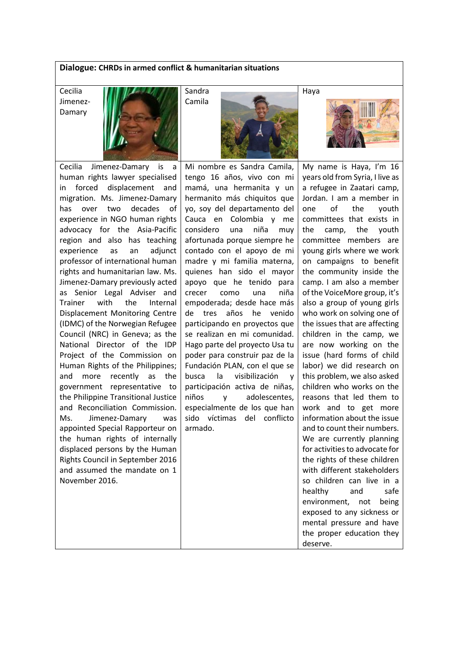# **Dialogue: CHRDs in armed conflict & humanitarian situations**

Cecilia Jimenez-Damary



Cecilia Jimenez-Damary is a human rights lawyer specialised in forced displacement and migration. Ms. Jimenez-Damary has over two decades of experience in NGO human rights advocacy for the Asia-Pacific region and also has teaching experience as an adjunct professor of international human rights and humanitarian law. Ms. Jimenez-Damary previously acted as Senior Legal Adviser and Trainer with the Internal Displacement Monitoring Centre (IDMC) of the Norwegian Refugee Council (NRC) in Geneva; as the National Director of the IDP Project of the Commission on Human Rights of the Philippines; and more recently as the government representative to the Philippine Transitional Justice and Reconciliation Commission. Ms. Jimenez-Damary was appointed Special Rapporteur on the human rights of internally displaced persons by the Human Rights Council in September 2016 and assumed the mandate on 1 November 2016.

Mi nombre es Sandra Camila, tengo 16 años, vivo con mi mamá, una hermanita y un hermanito más chiquitos que yo, soy del departamento del Cauca en Colombia y me considero una niña muy afortunada porque siempre he contado con el apoyo de mi madre y mi familia materna, quienes han sido el mayor apoyo que he tenido para crecer como una niña empoderada; desde hace más de tres años he venido participando en proyectos que se realizan en mi comunidad. Hago parte del proyecto Usa tu poder para construir paz de la Fundación PLAN, con el que se busca la visibilización y participación activa de niñas, niños y adolescentes, especialmente de los que han sido víctimas del conflicto armado.

Haya



My name is Haya, I'm 16 years old from Syria, I live as a refugee in Zaatari camp, Jordan. I am a member in one of the youth committees that exists in the camp, the youth committee members are young girls where we work on campaigns to benefit the community inside the camp. I am also a member of the VoiceMore group, it's also a group of young girls who work on solving one of the issues that are affecting children in the camp, we are now working on the issue (hard forms of child labor) we did research on this problem, we also asked children who works on the reasons that led them to work and to get more information about the issue and to count their numbers. We are currently planning for activities to advocate for the rights of these children with different stakeholders so children can live in a healthy and safe environment, not being exposed to any sickness or mental pressure and have the proper education they deserve.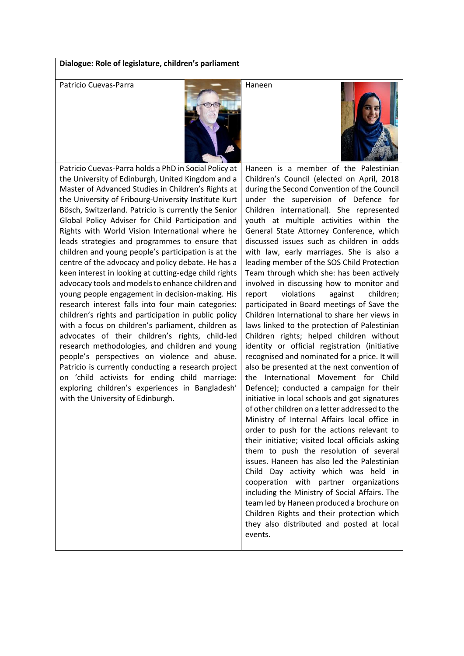# **Dialogue: Role of legislature, children's parliament**

Patricio Cuevas-Parra Haneen



Patricio Cuevas-Parra holds a PhD in Social Policy at the University of Edinburgh, United Kingdom and a Master of Advanced Studies in Children's Rights at the University of Fribourg-University Institute Kurt Bösch, Switzerland. Patricio is currently the Senior Global Policy Adviser for Child Participation and Rights with World Vision International where he leads strategies and programmes to ensure that children and young people's participation is at the centre of the advocacy and policy debate. He has a keen interest in looking at cutting-edge child rights advocacy tools and models to enhance children and young people engagement in decision-making. His research interest falls into four main categories: children's rights and participation in public policy with a focus on children's parliament, children as advocates of their children's rights, child-led research methodologies, and children and young people's perspectives on violence and abuse. Patricio is currently conducting a research project on 'child activists for ending child marriage: exploring children's experiences in Bangladesh' with the University of Edinburgh.

Haneen is a member of the Palestinian Children's Council (elected on April, 2018 during the Second Convention of the Council under the supervision of Defence for Children international). She represented youth at multiple activities within the General State Attorney Conference, which discussed issues such as children in odds with law, early marriages. She is also a leading member of the SOS Child Protection Team through which she: has been actively involved in discussing how to monitor and report violations against children; participated in Board meetings of Save the Children International to share her views in laws linked to the protection of Palestinian Children rights; helped children without identity or official registration (initiative recognised and nominated for a price. It will also be presented at the next convention of the International Movement for Child Defence); conducted a campaign for their initiative in local schools and got signatures of other children on a letter addressed to the Ministry of Internal Affairs local office in order to push for the actions relevant to their initiative; visited local officials asking them to push the resolution of several issues. Haneen has also led the Palestinian Child Day activity which was held in cooperation with partner organizations including the Ministry of Social Affairs. The team led by Haneen produced a brochure on Children Rights and their protection which they also distributed and posted at local events.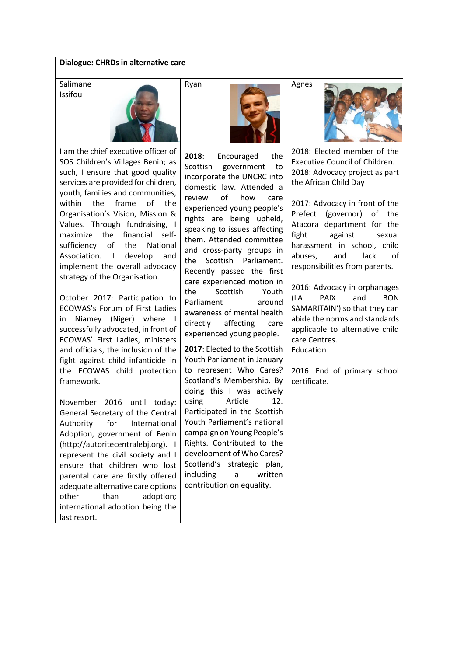### **Dialogue: CHRDs in alternative care**

Salimane Issifou



I am the chief executive officer of SOS Children's Villages Benin; as such, I ensure that good quality services are provided for children, youth, families and communities, within the frame of the Organisation's Vision, Mission & Values. Through fundraising, I maximize the financial selfsufficiency of the National Association. I develop and implement the overall advocacy strategy of the Organisation.

October 2017: Participation to ECOWAS's Forum of First Ladies in Niamey (Niger) where I successfully advocated, in front of ECOWAS' First Ladies, ministers and officials, the inclusion of the fight against child infanticide in the ECOWAS child protection framework.

November 2016 until today: General Secretary of the Central Authority for International Adoption, government of Benin (http://autoritecentralebj.org). I represent the civil society and I ensure that children who lost parental care are firstly offered adequate alternative care options other than adoption; international adoption being the last resort.



**2018**: Encouraged the Scottish government to incorporate the UNCRC into domestic law. Attended a review of how care experienced young people's rights are being upheld, speaking to issues affecting them. Attended committee and cross-party groups in the Scottish Parliament. Recently passed the first care experienced motion in the Scottish Youth Parliament around awareness of mental health directly affecting care experienced young people.

**2017**: Elected to the Scottish Youth Parliament in January to represent Who Cares? Scotland's Membership. By doing this I was actively using Article 12. Participated in the Scottish Youth Parliament's national campaign on Young People's Rights. Contributed to the development of Who Cares? Scotland's strategic plan, including a written contribution on equality.



2018: Elected member of the Executive Council of Children. 2018: Advocacy project as part the African Child Day

2017: Advocacy in front of the Prefect (governor) of the Atacora department for the fight against sexual harassment in school, child abuses, and lack of responsibilities from parents.

2016: Advocacy in orphanages (LA PAIX and BON SAMARITAIN') so that they can abide the norms and standards applicable to alternative child care Centres. Education

2016: End of primary school certificate.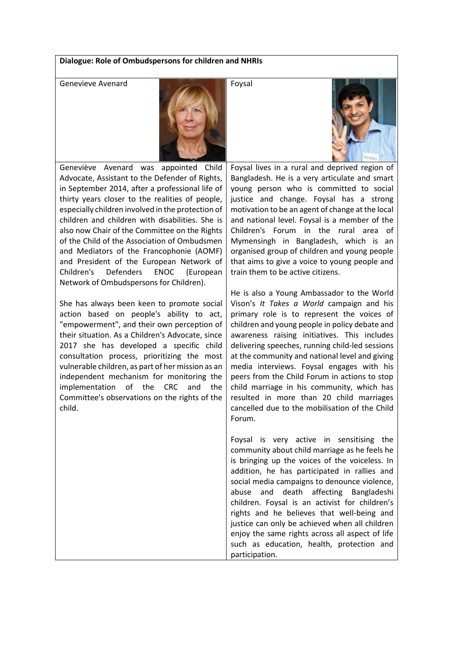### **Dialogue: Role of Ombudspersons for children and NHRIs**

Genevieve Avenard For Form Foysal



Geneviève Avenard was appointed Child Advocate, Assistant to the Defender of Rights, in September 2014, after a professional life of thirty years closer to the realities of people, especially children involved in the protection of children and children with disabilities. She is also now Chair of the Committee on the Rights of the Child of the Association of Ombudsmen and Mediators of the Francophonie (AOMF) and President of the European Network of Children's Defenders ENOC (European Network of Ombudspersons for Children).

She has always been keen to promote social action based on people's ability to act, "empowerment", and their own perception of their situation. As a Children's Advocate, since 2017 she has developed a specific child consultation process, prioritizing the most vulnerable children, as part of her mission as an independent mechanism for monitoring the implementation of the CRC and the Committee's observations on the rights of the child.

Foysal lives in a rural and deprived region of Bangladesh. He is a very articulate and smart young person who is committed to social justice and change. Foysal has a strong motivation to be an agent of change at the local and national level. Foysal is a member of the Children's Forum in the rural area of Mymensingh in Bangladesh, which is an organised group of children and young people that aims to give a voice to young people and train them to be active citizens.

He is also a Young Ambassador to the World Vison's *It Takes a World* campaign and his primary role is to represent the voices of children and young people in policy debate and awareness raising initiatives. This includes delivering speeches, running child-led sessions at the community and national level and giving media interviews. Foysal engages with his peers from the Child Forum in actions to stop child marriage in his community, which has resulted in more than 20 child marriages cancelled due to the mobilisation of the Child Forum.

Foysal is very active in sensitising the community about child marriage as he feels he is bringing up the voices of the voiceless. In addition, he has participated in rallies and social media campaigns to denounce violence, abuse and death affecting Bangladeshi children. Foysal is an activist for children's rights and he believes that well-being and justice can only be achieved when all children enjoy the same rights across all aspect of life such as education, health, protection and participation.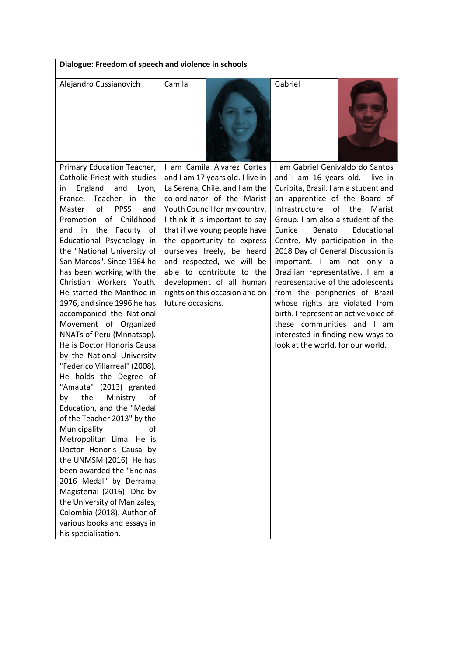| Dialogue: Freedom of speech and violence in schools                                                                                                                                                                                                                                                                                                                                                                                                                                                                                                                                                                                                                                                                                                                                                                                                                                                                                                                                                                                                                                          |                                                                                                                                                                                                                                                                                                                                                                                                                                            |                                                                                                                                                                                                                                                                                                                                                                                                                                                                                                                                                                                                                                                              |  |  |
|----------------------------------------------------------------------------------------------------------------------------------------------------------------------------------------------------------------------------------------------------------------------------------------------------------------------------------------------------------------------------------------------------------------------------------------------------------------------------------------------------------------------------------------------------------------------------------------------------------------------------------------------------------------------------------------------------------------------------------------------------------------------------------------------------------------------------------------------------------------------------------------------------------------------------------------------------------------------------------------------------------------------------------------------------------------------------------------------|--------------------------------------------------------------------------------------------------------------------------------------------------------------------------------------------------------------------------------------------------------------------------------------------------------------------------------------------------------------------------------------------------------------------------------------------|--------------------------------------------------------------------------------------------------------------------------------------------------------------------------------------------------------------------------------------------------------------------------------------------------------------------------------------------------------------------------------------------------------------------------------------------------------------------------------------------------------------------------------------------------------------------------------------------------------------------------------------------------------------|--|--|
| Alejandro Cussianovich                                                                                                                                                                                                                                                                                                                                                                                                                                                                                                                                                                                                                                                                                                                                                                                                                                                                                                                                                                                                                                                                       | Camila                                                                                                                                                                                                                                                                                                                                                                                                                                     | Gabriel                                                                                                                                                                                                                                                                                                                                                                                                                                                                                                                                                                                                                                                      |  |  |
| Primary Education Teacher,<br>Catholic Priest with studies<br>England<br>and<br>Lyon,<br>in.<br>France. Teacher in the<br>$\alpha$ f<br><b>PPSS</b><br>and<br>Master<br>Promotion of Childhood<br>and in the Faculty of<br>Educational Psychology in<br>the "National University of<br>San Marcos". Since 1964 he<br>has been working with the<br>Christian Workers Youth.<br>He started the Manthoc in<br>1976, and since 1996 he has<br>accompanied the National<br>Movement of Organized<br>NNATs of Peru (Mnnatsop).<br>He is Doctor Honoris Causa<br>by the National University<br>"Federico Villarreal" (2008).<br>He holds the Degree of<br>"Amauta"<br>$(2013)$ granted<br>the<br>Ministry<br>of<br>by<br>Education, and the "Medal<br>of the Teacher 2013" by the<br>Municipality<br>of<br>Metropolitan Lima. He is<br>Doctor Honoris Causa by<br>the UNMSM (2016). He has<br>been awarded the "Encinas<br>2016 Medal" by Derrama<br>Magisterial (2016); Dhc by<br>the University of Manizales,<br>Colombia (2018). Author of<br>various books and essays in<br>his specialisation. | I am Camila Alvarez Cortes<br>and I am 17 years old. I live in<br>La Serena, Chile, and I am the<br>co-ordinator of the Marist<br>Youth Council for my country.<br>I think it is important to say<br>that if we young people have<br>the opportunity to express<br>ourselves freely, be heard<br>and respected, we will be<br>able to contribute to the<br>development of all human<br>rights on this occasion and on<br>future occasions. | I am Gabriel Genivaldo do Santos<br>and I am 16 years old. I live in<br>Curibita, Brasil. I am a student and<br>an apprentice of the Board of<br>Infrastructure of the<br>Marist<br>Group. I am also a student of the<br>Eunice<br>Benato<br>Educational<br>Centre. My participation in the<br>2018 Day of General Discussion is<br>important. I am not only a<br>Brazilian representative. I am a<br>representative of the adolescents<br>from the peripheries of Brazil<br>whose rights are violated from<br>birth. I represent an active voice of<br>these communities and I am<br>interested in finding new ways to<br>look at the world, for our world. |  |  |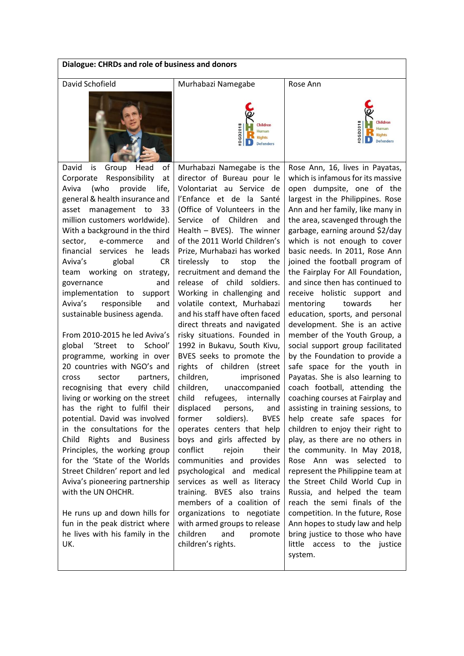| Dialogue: CHRDs and role of business and donors                 |                                                                   |                                                                          |  |  |
|-----------------------------------------------------------------|-------------------------------------------------------------------|--------------------------------------------------------------------------|--|--|
| David Schofield                                                 | Murhabazi Namegabe                                                | Rose Ann                                                                 |  |  |
|                                                                 | Children<br>DGD2018<br>Human<br><b>Rights</b><br><b>Defenders</b> | Children<br><b>DGD2018</b><br>luman<br><b>Rights</b><br><b>Defenders</b> |  |  |
| David<br>Group<br>Head<br>оf<br>is                              | Murhabazi Namegabe is the                                         | Rose Ann, 16, lives in Payatas,                                          |  |  |
| Responsibility<br>Corporate<br>at                               | director of Bureau pour le                                        | which is infamous for its massive                                        |  |  |
| provide<br>Aviva<br>(who<br>life,                               | Volontariat au Service de                                         | open dumpsite, one of the                                                |  |  |
| general & health insurance and                                  | l'Enfance et de la Santé                                          | largest in the Philippines. Rose                                         |  |  |
| management to<br>asset<br>33<br>million customers worldwide).   | (Office of Volunteers in the<br>of Children<br>Service<br>and     | Ann and her family, like many in<br>the area, scavenged through the      |  |  |
| With a background in the third                                  | Health - BVES). The winner                                        | garbage, earning around \$2/day                                          |  |  |
| sector,<br>and<br>e-commerce                                    | of the 2011 World Children's                                      | which is not enough to cover                                             |  |  |
| financial services he leads                                     | Prize, Murhabazi has worked                                       | basic needs. In 2011, Rose Ann                                           |  |  |
| Aviva's<br>global<br><b>CR</b>                                  | tirelessly<br>the<br>to<br>stop                                   | joined the football program of                                           |  |  |
| team working on strategy,                                       | recruitment and demand the                                        | the Fairplay For All Foundation,                                         |  |  |
| governance<br>and                                               | release of child soldiers.                                        | and since then has continued to                                          |  |  |
| implementation to<br>support<br>Aviva's<br>responsible<br>and   | Working in challenging and<br>volatile context, Murhabazi         | receive holistic support<br>and<br>towards<br>mentoring<br>her           |  |  |
| sustainable business agenda.                                    | and his staff have often faced                                    | education, sports, and personal                                          |  |  |
|                                                                 | direct threats and navigated                                      | development. She is an active                                            |  |  |
| From 2010-2015 he led Aviva's                                   | risky situations. Founded in                                      | member of the Youth Group, a                                             |  |  |
| global<br>School'<br>'Street<br>to                              | 1992 in Bukavu, South Kivu,                                       | social support group facilitated                                         |  |  |
| programme, working in over                                      | BVES seeks to promote the                                         | by the Foundation to provide a                                           |  |  |
| 20 countries with NGO's and                                     | rights of children (street                                        | safe space for the youth in                                              |  |  |
| partners,<br>cross<br>sector<br>recognising that every child    | children,<br>imprisoned<br>children,<br>unaccompanied             | Payatas. She is also learning to<br>coach football, attending the        |  |  |
| living or working on the street                                 | child<br>refugees,<br>internally                                  | coaching courses at Fairplay and                                         |  |  |
| has the right to fulfil their                                   | displaced<br>persons,<br>and                                      | assisting in training sessions, to                                       |  |  |
| potential. David was involved                                   | soldiers).<br>former<br><b>BVES</b>                               | help create safe spaces for                                              |  |  |
| in the consultations for the                                    | operates centers that help                                        | children to enjoy their right to                                         |  |  |
| Rights and Business<br>Child                                    | boys and girls affected by                                        | play, as there are no others in                                          |  |  |
| Principles, the working group                                   | conflict<br>rejoin<br>their                                       | the community. In May 2018,                                              |  |  |
| for the 'State of the Worlds<br>Street Children' report and led | communities and provides<br>psychological and medical             | Rose Ann was selected to<br>represent the Philippine team at             |  |  |
| Aviva's pioneering partnership                                  | services as well as literacy                                      | the Street Child World Cup in                                            |  |  |
| with the UN OHCHR.                                              | training. BVES also trains                                        | Russia, and helped the team                                              |  |  |
|                                                                 | members of a coalition of                                         | reach the semi finals of the                                             |  |  |
| He runs up and down hills for                                   | organizations to negotiate                                        | competition. In the future, Rose                                         |  |  |
| fun in the peak district where                                  | with armed groups to release                                      | Ann hopes to study law and help                                          |  |  |
| he lives with his family in the                                 | children<br>and<br>promote                                        | bring justice to those who have                                          |  |  |
| UK.                                                             | children's rights.                                                | little access to the justice<br>system.                                  |  |  |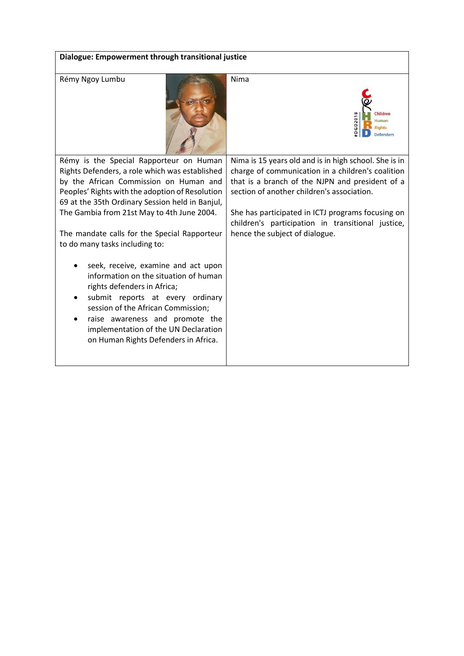| Dialogue: Empowerment through transitional justice                                                                                                                                                                                                                                                                                                                        |                                                                                                                                                                                                                                                                                                                                                         |  |  |  |
|---------------------------------------------------------------------------------------------------------------------------------------------------------------------------------------------------------------------------------------------------------------------------------------------------------------------------------------------------------------------------|---------------------------------------------------------------------------------------------------------------------------------------------------------------------------------------------------------------------------------------------------------------------------------------------------------------------------------------------------------|--|--|--|
|                                                                                                                                                                                                                                                                                                                                                                           |                                                                                                                                                                                                                                                                                                                                                         |  |  |  |
| Rémy Ngoy Lumbu                                                                                                                                                                                                                                                                                                                                                           | Nima<br>Children<br>DGD201<br>Human<br><b>Rights</b><br><b>Defenders</b>                                                                                                                                                                                                                                                                                |  |  |  |
| Rémy is the Special Rapporteur on Human<br>Rights Defenders, a role which was established<br>by the African Commission on Human and<br>Peoples' Rights with the adoption of Resolution<br>69 at the 35th Ordinary Session held in Banjul,<br>The Gambia from 21st May to 4th June 2004.<br>The mandate calls for the Special Rapporteur<br>to do many tasks including to: | Nima is 15 years old and is in high school. She is in<br>charge of communication in a children's coalition<br>that is a branch of the NJPN and president of a<br>section of another children's association.<br>She has participated in ICTJ programs focusing on<br>children's participation in transitional justice,<br>hence the subject of dialogue. |  |  |  |
| seek, receive, examine and act upon<br>information on the situation of human<br>rights defenders in Africa;<br>submit reports at every ordinary<br>session of the African Commission;<br>raise awareness and promote the<br>implementation of the UN Declaration<br>on Human Rights Defenders in Africa.                                                                  |                                                                                                                                                                                                                                                                                                                                                         |  |  |  |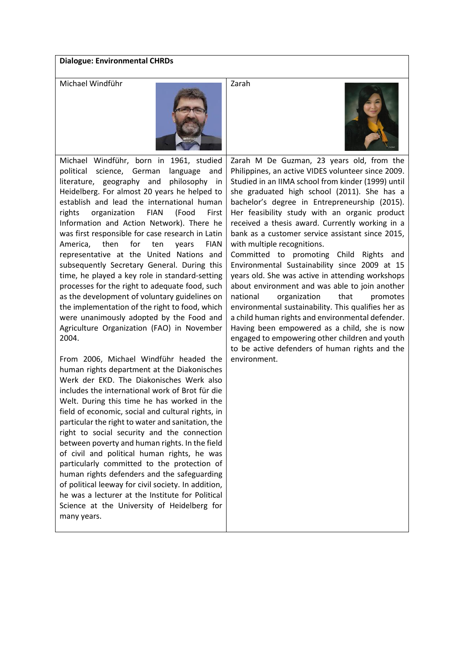# **Dialogue: Environmental CHRDs**



Michael Windführ, born in 1961, studied political science, German language and literature, geography and philosophy in Heidelberg. For almost 20 years he helped to establish and lead the international human rights organization FIAN (Food First Information and Action Network). There he was first responsible for case research in Latin America, then for ten years FIAN representative at the United Nations and subsequently Secretary General. During this time, he played a key role in standard-setting processes for the right to adequate food, such as the development of voluntary guidelines on the implementation of the right to food, which were unanimously adopted by the Food and Agriculture Organization (FAO) in November 2004.

From 2006, Michael Windführ headed the human rights department at the Diakonisches Werk der EKD. The Diakonisches Werk also includes the international work of Brot für die Welt. During this time he has worked in the field of economic, social and cultural rights, in particular the right to water and sanitation, the right to social security and the connection between poverty and human rights. In the field of civil and political human rights, he was particularly committed to the protection of human rights defenders and the safeguarding of political leeway for civil society. In addition, he was a lecturer at the Institute for Political Science at the University of Heidelberg for many years.

Zarah M De Guzman, 23 years old, from the Philippines, an active VIDES volunteer since 2009. Studied in an IIMA school from kinder (1999) until she graduated high school (2011). She has a bachelor's degree in Entrepreneurship (2015). Her feasibility study with an organic product received a thesis award. Currently working in a bank as a customer service assistant since 2015, with multiple recognitions.

Committed to promoting Child Rights and Environmental Sustainability since 2009 at 15 years old. She was active in attending workshops about environment and was able to join another national organization that promotes environmental sustainability. This qualifies her as a child human rights and environmental defender. Having been empowered as a child, she is now engaged to empowering other children and youth to be active defenders of human rights and the environment.